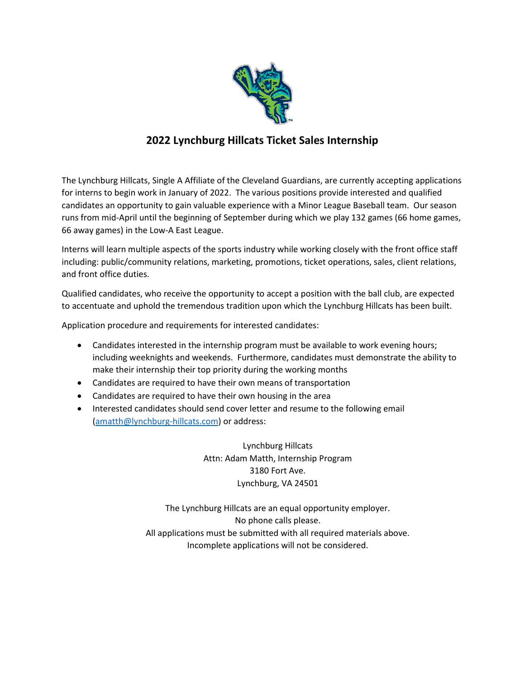

## **2022 Lynchburg Hillcats Ticket Sales Internship**

The Lynchburg Hillcats, Single A Affiliate of the Cleveland Guardians, are currently accepting applications for interns to begin work in January of 2022. The various positions provide interested and qualified candidates an opportunity to gain valuable experience with a Minor League Baseball team. Our season runs from mid-April until the beginning of September during which we play 132 games (66 home games, 66 away games) in the Low-A East League.

Interns will learn multiple aspects of the sports industry while working closely with the front office staff including: public/community relations, marketing, promotions, ticket operations, sales, client relations, and front office duties.

Qualified candidates, who receive the opportunity to accept a position with the ball club, are expected to accentuate and uphold the tremendous tradition upon which the Lynchburg Hillcats has been built.

Application procedure and requirements for interested candidates:

- Candidates interested in the internship program must be available to work evening hours; including weeknights and weekends. Furthermore, candidates must demonstrate the ability to make their internship their top priority during the working months
- Candidates are required to have their own means of transportation
- Candidates are required to have their own housing in the area
- Interested candidates should send cover letter and resume to the following email [\(amatth@lynchburg-hillcats.com\)](mailto:amatth@lynchburg-hillcats.com) or address:

Lynchburg Hillcats Attn: Adam Matth, Internship Program 3180 Fort Ave. Lynchburg, VA 24501

The Lynchburg Hillcats are an equal opportunity employer. No phone calls please. All applications must be submitted with all required materials above. Incomplete applications will not be considered.